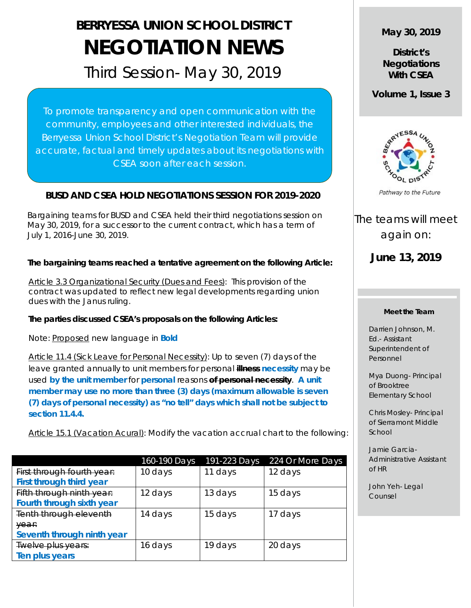# **BERRYESSA UNION SCHOOL DISTRICT NEGOTIATION NEWS**

# Third Session- May 30, 2019

To promote transparency and open communication with the community, employees and other interested individuals, the Berryessa Union School District's Negotiation Team will provide accurate, factual and timely updates about its negotiations with CSEA soon after each session.

# **BUSD AND CSEA HOLD NEGOTIATIONS SESSION FOR 2019-2020**

 Bargaining teams for BUSD and CSEA held their third negotiations session on May 30, 2019, for a successor to the current contract, which has a term of July 1, 2016-June 30, 2019.

# **The bargaining teams reached a tentative agreement on the following Article:**

Article 3.3 Organizational Security (Dues and Fees): This provision of the contract was updated to reflect new legal developments regarding union dues with the Janus ruling.

## **The parties discussed CSEA's proposals on the following Articles:**

Note: Proposed new language in **Bold** 

Article 11.4 (Sick Leave for Personal Necessity): Up to seven (7) days of the leave granted annually to unit members for personal **illness necessity** may be used **by the unit member** for **personal** reasons **of personal necessity**. **A unit member may use no more than three (3) days (maximum allowable is seven (7) days of personal necessity) as "no tell" days which shall not be subject to section 11.4.4.**

Article 15.1 (Vacation Acural): Modify the vacation accrual chart to the following:

|                            | 160-190 Days | 191-223 Days | 224 Or More Days |
|----------------------------|--------------|--------------|------------------|
| First through fourth year: | 10 days      | 11 days      | 12 days          |
| First through third year   |              |              |                  |
| Fifth through ninth year:  | 12 days      | 13 days      | 15 days          |
| Fourth through sixth year  |              |              |                  |
| Tenth through eleventh     | 14 days      | 15 days      | 17 days          |
| year:                      |              |              |                  |
| Seventh through ninth year |              |              |                  |
| Twelve plus years:         | 16 days      | 19 days      | 20 days          |
| Ten plus years             |              |              |                  |

# **May 30, 2019**

**District's Negotiations With CSEA**

**Volume 1, Issue 3**



Pathway to the Future

The teams will meet again on:

**June 13, 2019**

#### **Meet the Team**

Darrien Johnson, M. Ed.- Assistant Superintendent of Personnel

Mya Duong- Principal of Brooktree Elementary School

Chris Mosley- Principal of Sierramont Middle School

Jamie Garcia-Administrative Assistant of HR

John Yeh- Legal Counsel